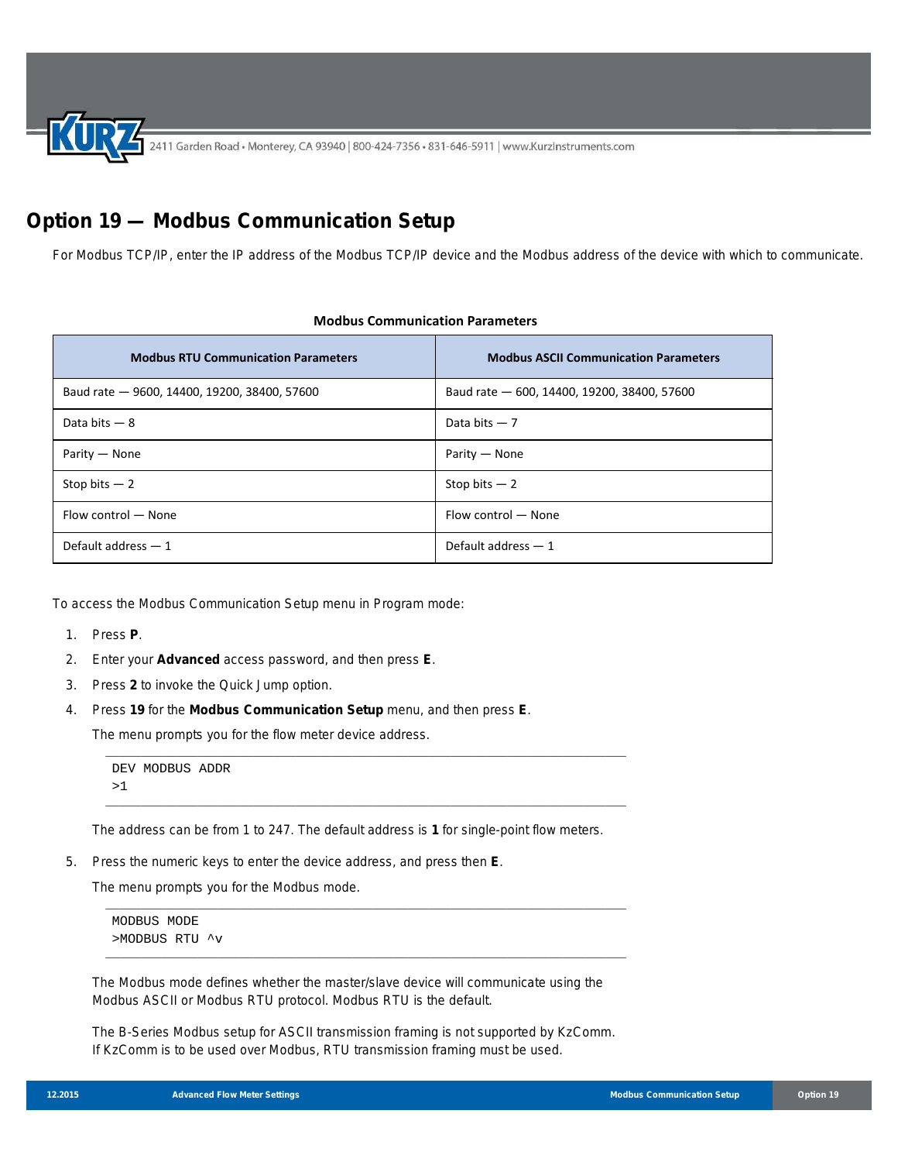2411 Garden Road • Monterey, CA 93940 | 800-424-7356 • 831-646-5911 | www.KurzInstruments.com

## **Option 19 — Modbus Communication Setup**

For Modbus TCP/IP, enter the IP address of the Modbus TCP/IP device and the Modbus address of the device with which to communicate.

| <b>Modbus RTU Communication Parameters</b>   | <b>Modbus ASCII Communication Parameters</b> |
|----------------------------------------------|----------------------------------------------|
| Baud rate - 9600, 14400, 19200, 38400, 57600 | Baud rate - 600, 14400, 19200, 38400, 57600  |
| Data bits $-8$                               | Data bits $-7$                               |
| Parity – None                                | Parity – None                                |
| Stop bits $-2$                               | Stop bits $-2$                               |
| Flow control - None                          | Flow control - None                          |
| Default address $-1$                         | Default address $-1$                         |

## **Modbus Communication Parameters**

To access the Modbus Communication Setup menu in Program mode:

- 1. Press **P**.
- 2. Enter your **Advanced** access password, and then press **E**.
- 3. Press **2** to invoke the Quick Jump option.
- 4. Press **19** for the **Modbus Communication Setup** menu, and then press **E**.

The menu prompts you for the flow meter device address.

```
DEV MODBUS ADDR 
>1
```
The address can be from 1 to 247. The default address is **1** for single-point flow meters.

\_\_\_\_\_\_\_\_\_\_\_\_\_\_\_\_\_\_\_\_\_\_\_\_\_\_\_\_\_\_\_\_\_\_\_\_\_\_\_\_\_\_\_\_\_\_\_\_\_\_\_\_\_\_\_\_\_\_\_\_\_\_\_\_\_\_\_\_\_\_\_\_\_\_

\_\_\_\_\_\_\_\_\_\_\_\_\_\_\_\_\_\_\_\_\_\_\_\_\_\_\_\_\_\_\_\_\_\_\_\_\_\_\_\_\_\_\_\_\_\_\_\_\_\_\_\_\_\_\_\_\_\_\_\_\_\_\_\_\_\_\_\_\_\_\_\_\_\_

\_\_\_\_\_\_\_\_\_\_\_\_\_\_\_\_\_\_\_\_\_\_\_\_\_\_\_\_\_\_\_\_\_\_\_\_\_\_\_\_\_\_\_\_\_\_\_\_\_\_\_\_\_\_\_\_\_\_\_\_\_\_\_\_\_\_\_\_\_\_\_\_\_\_

\_\_\_\_\_\_\_\_\_\_\_\_\_\_\_\_\_\_\_\_\_\_\_\_\_\_\_\_\_\_\_\_\_\_\_\_\_\_\_\_\_\_\_\_\_\_\_\_\_\_\_\_\_\_\_\_\_\_\_\_\_\_\_\_\_\_\_\_\_\_\_\_\_\_

5. Press the numeric keys to enter the device address, and press then **E**.

The menu prompts you for the Modbus mode.

MODBUS MODE >MODBUS RTU ^v

The Modbus mode defines whether the master/slave device will communicate using the Modbus ASCII or Modbus RTU protocol. Modbus RTU is the default.

The B-Series Modbus setup for ASCII transmission framing is not supported by KzComm. If KzComm is to be used over Modbus, RTU transmission framing must be used.